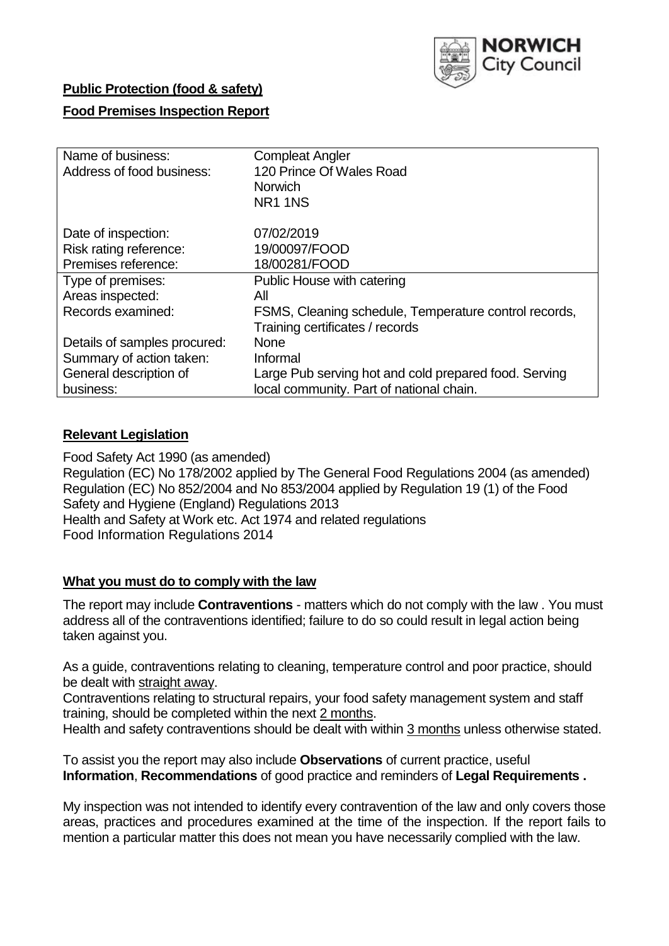

# **Public Protection (food & safety)**

## **Food Premises Inspection Report**

| Name of business:<br>Address of food business: | <b>Compleat Angler</b><br>120 Prince Of Wales Road<br><b>Norwich</b><br><b>NR1 1NS</b> |
|------------------------------------------------|----------------------------------------------------------------------------------------|
| Date of inspection:                            | 07/02/2019                                                                             |
| Risk rating reference:                         | 19/00097/FOOD                                                                          |
| Premises reference:                            | 18/00281/FOOD                                                                          |
| Type of premises:                              | Public House with catering                                                             |
| Areas inspected:                               | All                                                                                    |
| Records examined:                              | FSMS, Cleaning schedule, Temperature control records,                                  |
|                                                | Training certificates / records                                                        |
| Details of samples procured:                   | <b>None</b>                                                                            |
| Summary of action taken:                       | Informal                                                                               |
| General description of                         | Large Pub serving hot and cold prepared food. Serving                                  |
| business:                                      | local community. Part of national chain.                                               |

## **Relevant Legislation**

Food Safety Act 1990 (as amended) Regulation (EC) No 178/2002 applied by The General Food Regulations 2004 (as amended) Regulation (EC) No 852/2004 and No 853/2004 applied by Regulation 19 (1) of the Food Safety and Hygiene (England) Regulations 2013 Health and Safety at Work etc. Act 1974 and related regulations Food Information Regulations 2014

## **What you must do to comply with the law**

The report may include **Contraventions** - matters which do not comply with the law . You must address all of the contraventions identified; failure to do so could result in legal action being taken against you.

As a guide, contraventions relating to cleaning, temperature control and poor practice, should be dealt with straight away.

Contraventions relating to structural repairs, your food safety management system and staff training, should be completed within the next 2 months.

Health and safety contraventions should be dealt with within 3 months unless otherwise stated.

To assist you the report may also include **Observations** of current practice, useful **Information**, **Recommendations** of good practice and reminders of **Legal Requirements .**

My inspection was not intended to identify every contravention of the law and only covers those areas, practices and procedures examined at the time of the inspection. If the report fails to mention a particular matter this does not mean you have necessarily complied with the law.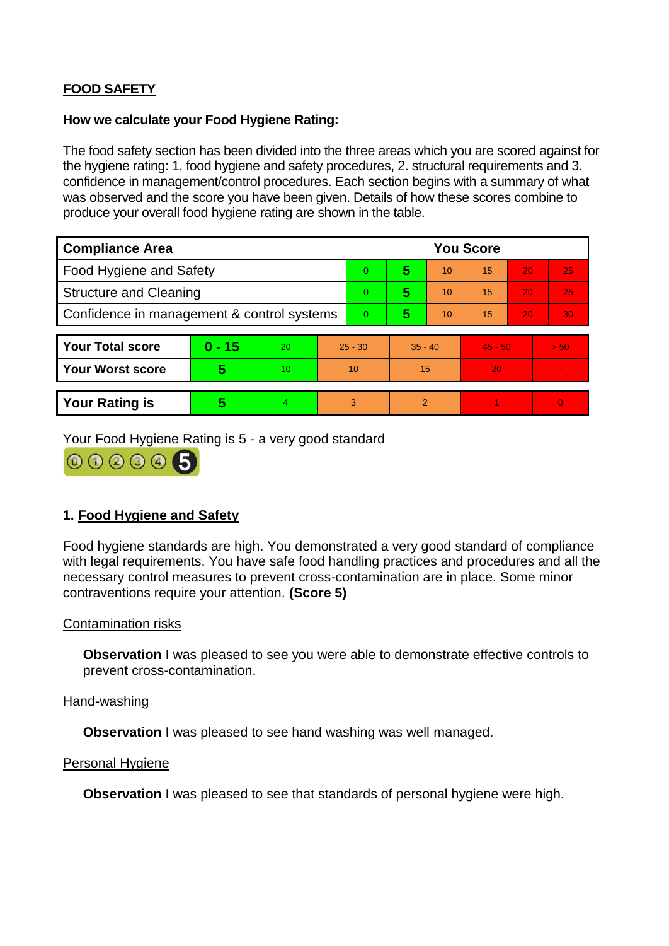# **FOOD SAFETY**

### **How we calculate your Food Hygiene Rating:**

The food safety section has been divided into the three areas which you are scored against for the hygiene rating: 1. food hygiene and safety procedures, 2. structural requirements and 3. confidence in management/control procedures. Each section begins with a summary of what was observed and the score you have been given. Details of how these scores combine to produce your overall food hygiene rating are shown in the table.

| <b>Compliance Area</b>                     |          |    |                | <b>You Score</b> |           |    |           |    |                |  |  |
|--------------------------------------------|----------|----|----------------|------------------|-----------|----|-----------|----|----------------|--|--|
| Food Hygiene and Safety                    |          |    |                | $\Omega$         | 5         | 10 | 15        | 20 | 25             |  |  |
| <b>Structure and Cleaning</b>              |          |    | $\overline{0}$ | 5                | 10        | 15 | 20        | 25 |                |  |  |
| Confidence in management & control systems |          |    | $\overline{0}$ | 5                | 10        | 15 | 20        | 30 |                |  |  |
|                                            |          |    |                |                  |           |    |           |    |                |  |  |
| <b>Your Total score</b>                    | $0 - 15$ | 20 | $25 - 30$      |                  | $35 - 40$ |    | $45 - 50$ |    | > 50           |  |  |
| Your Worst score                           | 5        | 10 | 10             |                  | 15        |    | 20        |    |                |  |  |
|                                            |          |    |                |                  |           |    |           |    |                |  |  |
| <b>Your Rating is</b>                      | 5        | 4. | 3              |                  | 2         |    |           |    | $\overline{0}$ |  |  |

Your Food Hygiene Rating is 5 - a very good standard

000005

# **1. Food Hygiene and Safety**

Food hygiene standards are high. You demonstrated a very good standard of compliance with legal requirements. You have safe food handling practices and procedures and all the necessary control measures to prevent cross-contamination are in place. Some minor contraventions require your attention. **(Score 5)**

## Contamination risks

**Observation** I was pleased to see you were able to demonstrate effective controls to prevent cross-contamination.

#### Hand-washing

**Observation** I was pleased to see hand washing was well managed.

#### Personal Hygiene

**Observation** I was pleased to see that standards of personal hygiene were high.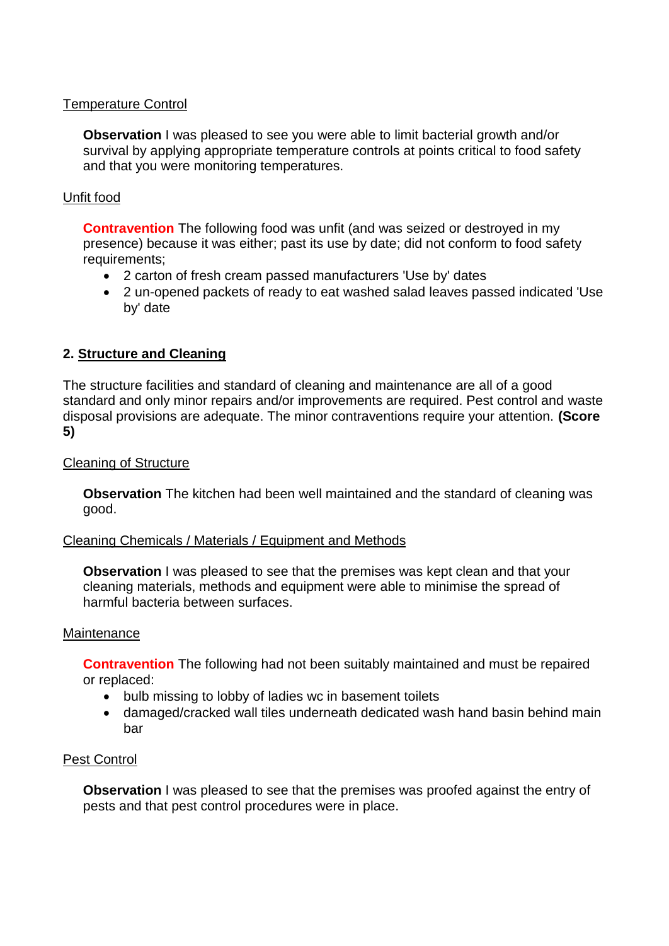## Temperature Control

**Observation** I was pleased to see you were able to limit bacterial growth and/or survival by applying appropriate temperature controls at points critical to food safety and that you were monitoring temperatures.

# Unfit food

**Contravention** The following food was unfit (and was seized or destroyed in my presence) because it was either; past its use by date; did not conform to food safety requirements;

- 2 carton of fresh cream passed manufacturers 'Use by' dates
- 2 un-opened packets of ready to eat washed salad leaves passed indicated 'Use by' date

# **2. Structure and Cleaning**

The structure facilities and standard of cleaning and maintenance are all of a good standard and only minor repairs and/or improvements are required. Pest control and waste disposal provisions are adequate. The minor contraventions require your attention. **(Score 5)**

## Cleaning of Structure

**Observation** The kitchen had been well maintained and the standard of cleaning was good.

#### Cleaning Chemicals / Materials / Equipment and Methods

**Observation** I was pleased to see that the premises was kept clean and that your cleaning materials, methods and equipment were able to minimise the spread of harmful bacteria between surfaces.

#### **Maintenance**

**Contravention** The following had not been suitably maintained and must be repaired or replaced:

- bulb missing to lobby of ladies wc in basement toilets
- damaged/cracked wall tiles underneath dedicated wash hand basin behind main bar

## Pest Control

**Observation** I was pleased to see that the premises was proofed against the entry of pests and that pest control procedures were in place.